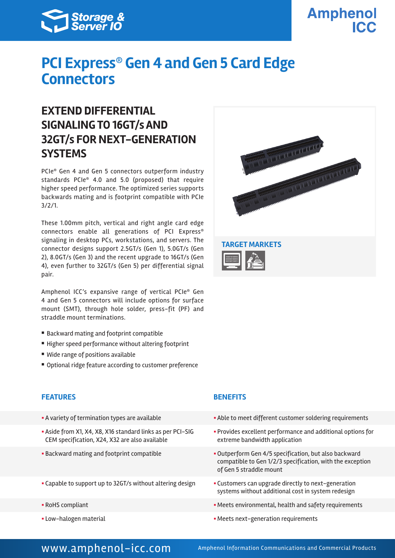

# **Amphenol**

## **PCI Express® Gen 4 and Gen 5 Card Edge Connectors**

### **EXTEND DIFFERENTIAL SIGNALING TO 16GT/s AND 32GT/s FOR NEXT-GENERATION SYSTEMS**

PCIe® Gen 4 and Gen 5 connectors outperform industry standards PCIe® 4.0 and 5.0 (proposed) that require higher speed performance. The optimized series supports backwards mating and is footprint compatible with PCIe 3/2/1.

These 1.00mm pitch, vertical and right angle card edge connectors enable all generations of PCI Express® signaling in desktop PCs, workstations, and servers. The connector designs support 2.5GT/s (Gen 1), 5.0GT/s (Gen 2), 8.0GT/s (Gen 3) and the recent upgrade to 16GT/s (Gen 4), even further to 32GT/s (Gen 5) per differential signal pair.

Amphenol ICC's expansive range of vertical PCIe® Gen 4 and Gen 5 connectors will include options for surface mount (SMT), through hole solder, press-fit (PF) and straddle mount terminations.

- Backward mating and footprint compatible
- Higher speed performance without altering footprint
- Wide range of positions available
- Optional ridge feature according to customer preference

### **FEATURES BENEFITS**

- 
- § Aside from X1, X4, X8, X16 standard links as per PCI-SIG CEM specification, X24, X32 are also available
- 
- Capable to support up to 32GT/s without altering design **•** Customers can upgrade directly to next-generation
- 
- 



- A variety of termination types are available  **Able to meet different customer soldering requirements** 
	- § Provides excellent performance and additional options for extreme bandwidth application
- Backward mating and footprint compatible **Example 2014** Outperform Gen 4/5 specification, but also backward compatible to Gen 1/2/3 specification, with the exception of Gen 5 straddle mount
	- systems without additional cost in system redesign
- RoHS compliant  **RoHS** compliant **EXECUTE: BEE EXECUTE: EXECUTE: EXECUTE: EXECUTE: EXECUTE: EXECUTE: EXECUTE: EXECUTE: EXECUTE: EXECUTE: EXECUTE: EXECUTE: EXECUTE: EXECUTE: EXECUTE: EXE**
- Low-halogen material **Exercise 20** and the set of the Meets next-generation requirements

### www.amphenol-icc.com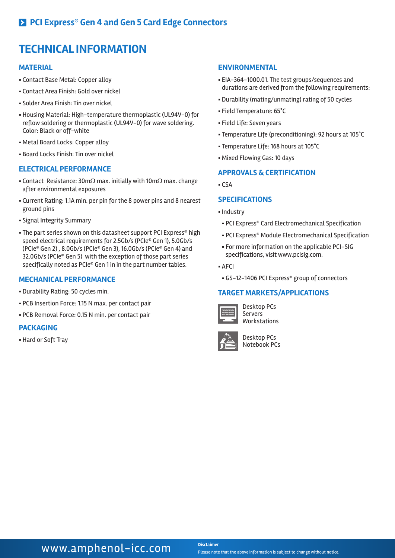### **TECHNICAL INFORMATION**

#### **MATERIAL**

- § Contact Base Metal: Copper alloy
- § Contact Area Finish: Gold over nickel
- § Solder Area Finish: Tin over nickel
- § Housing Material: High-temperature thermoplastic (UL94V-0) for reflow soldering or thermoplastic (UL94V-0) for wave soldering. Color: Black or off-white
- § Metal Board Locks: Copper alloy
- § Board Locks Finish: Tin over nickel

#### **ELECTRICAL PERFORMANCE**

- Contact Resistance: 30mΩ max. initially with 10mΩ max. change after environmental exposures
- § Current Rating: 1.1A min. per pin for the 8 power pins and 8 nearest ground pins
- § Signal Integrity Summary
- The part series shown on this datasheet support PCI Express® high speed electrical requirements for 2.5Gb/s (PCIe® Gen 1), 5.0Gb/s (PCIe® Gen 2) , 8.0Gb/s (PCIe® Gen 3), 16.0Gb/s (PCIe® Gen 4) and 32.0Gb/s (PCIe® Gen 5) with the exception of those part series specifically noted as PCIe® Gen 1 in in the part number tables.

#### **MECHANICAL PERFORMANCE**

- § Durability Rating: 50 cycles min.
- § PCB Insertion Force: 1.15 N max. per contact pair
- § PCB Removal Force: 0.15 N min. per contact pair

#### **PACKAGING**

§ Hard or Soft Tray

#### **ENVIRONMENTAL**

- § EIA-364-1000.01. The test groups/sequences and durations are derived from the following requirements:
- § Durability (mating/unmating) rating of 50 cycles
- § Field Temperature: 65°C
- § Field Life: Seven years
- § Temperature Life (preconditioning): 92 hours at 105°C
- § Temperature Life: 168 hours at 105°C
- § Mixed Flowing Gas: 10 days

#### **APPROVALS & CERTIFICATION**

 $\overline{\text{CSA}}$ 

#### **SPECIFICATIONS**

- § Industry
- § PCI Express® Card Electromechanical Specification
- § PCI Express® Module Electromechanical Specification
- § For more information on the applicable PCI-SIG specifications, visit www.pcisig.com.
- § AFCI
- § GS-12-1406 PCI Express® group of connectors

#### **TARGET MARKETS/APPLICATIONS**



Desktop PCs Servers Workstations



Desktop PCs Notebook PCs

### **WWW.amphenol-icc.com** Disclaimer

Please note that the above information is subject to change without notice.